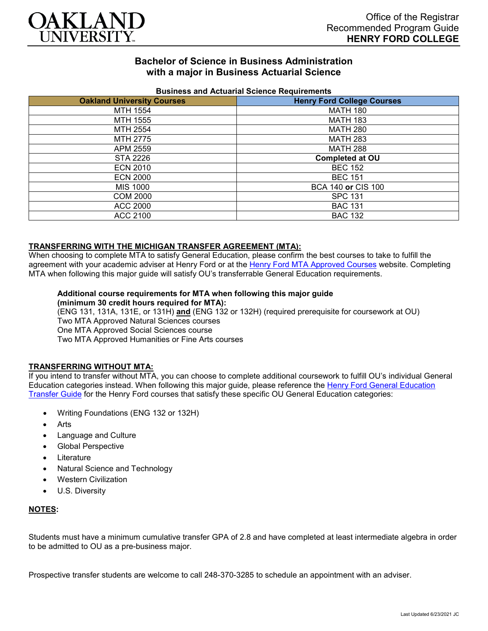

# **Bachelor of Science in Business Administration with a major in Business Actuarial Science**

| <b>Publical and Actualial Ocionce Requirements</b> |                                   |
|----------------------------------------------------|-----------------------------------|
| <b>Oakland University Courses</b>                  | <b>Henry Ford College Courses</b> |
| MTH 1554                                           | <b>MATH 180</b>                   |
| MTH 1555                                           | <b>MATH 183</b>                   |
| MTH 2554                                           | <b>MATH 280</b>                   |
| MTH 2775                                           | <b>MATH 283</b>                   |
| APM 2559                                           | <b>MATH 288</b>                   |
| STA 2226                                           | <b>Completed at OU</b>            |
| <b>ECN 2010</b>                                    | <b>BEC 152</b>                    |
| <b>ECN 2000</b>                                    | <b>BEC 151</b>                    |
| MIS 1000                                           | BCA 140 or CIS 100                |
| <b>COM 2000</b>                                    | <b>SPC 131</b>                    |
| ACC 2000                                           | <b>BAC 131</b>                    |
| ACC 2100                                           | <b>BAC 132</b>                    |

### **Business and Actuarial Science Requirements**

### **TRANSFERRING WITH THE MICHIGAN TRANSFER AGREEMENT (MTA):**

When choosing to complete MTA to satisfy General Education, please confirm the best courses to take to fulfill the agreement with your academic adviser at Henry Ford or at the [Henry Ford MTA Approved Courses](https://www.hfcc.edu/registration-and-records/mta/hfc-agreement) website. Completing MTA when following this major guide will satisfy OU's transferrable General Education requirements.

#### **Additional course requirements for MTA when following this major guide (minimum 30 credit hours required for MTA):**

(ENG 131, 131A, 131E, or 131H) **and** (ENG 132 or 132H) (required prerequisite for coursework at OU) Two MTA Approved Natural Sciences courses One MTA Approved Social Sciences course Two MTA Approved Humanities or Fine Arts courses

#### **TRANSFERRING WITHOUT MTA:**

If you intend to transfer without MTA, you can choose to complete additional coursework to fulfill OU's individual General Education categories instead. When following this major guide, please reference the [Henry Ford General Education](https://www.oakland.edu/Assets/Oakland/program-guides/henry-ford-college/university-general-education-requirements/Henry%20Ford%20Gen%20Ed.pdf)  [Transfer Guide](https://www.oakland.edu/Assets/Oakland/program-guides/henry-ford-college/university-general-education-requirements/Henry%20Ford%20Gen%20Ed.pdf) for the Henry Ford courses that satisfy these specific OU General Education categories:

- Writing Foundations (ENG 132 or 132H)
- **Arts**
- Language and Culture
- Global Perspective
- **Literature**
- Natural Science and Technology
- Western Civilization
- U.S. Diversity

### **NOTES:**

Students must have a minimum cumulative transfer GPA of 2.8 and have completed at least intermediate algebra in order to be admitted to OU as a pre-business major.

Prospective transfer students are welcome to call 248-370-3285 to schedule an appointment with an adviser.